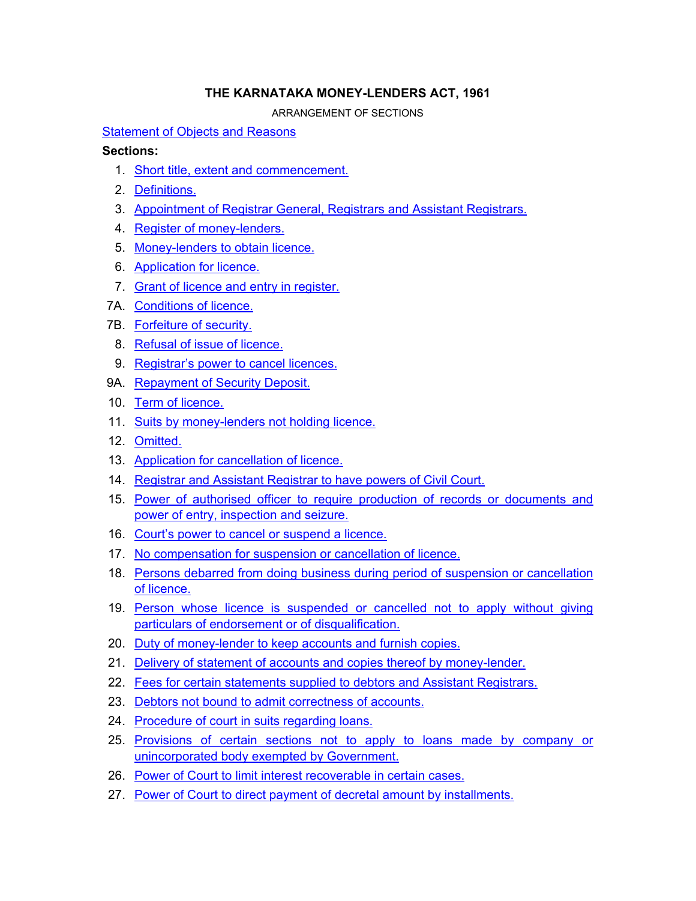## **THE KARNATAKA MONEY-LENDERS ACT, 1961**

ARRANGEMENT OF SECTIONS

[Statement of Objects and Reasons](#page-1-0)

## **Sections:**

- 1. [Short title, extent and commencement.](#page-4-0)
- 2. [Definitions.](#page-4-0)
- 3. [Appointment of Registrar General, Registrars and Assistant Registrars.](#page-7-0)
- 4. [Register of money-lenders.](#page-7-0)
- 5. [Money-lenders to obtain licence.](#page-7-0)
- 6. [Application for licence.](#page-7-0)
- 7. [Grant of licence and entry in register.](#page-9-0)
- 7A. [Conditions of licence.](#page-9-0)
- 7B. [Forfeiture of security.](#page-10-0)
- 8. [Refusal of issue of licence.](#page-10-0)
- 9. [Registrar's power to cancel licences.](#page-11-0)
- 9A. [Repayment of Security Deposit.](#page-11-0)
- 10. [Term of licence.](#page-11-0)
- 11. [Suits by money-lenders not holding licence.](#page-11-0)
- 12. [Omitted.](#page-12-0)
- 13. [Application for cancellation of licence.](#page-12-0)
- 14. [Registrar and Assistant Registrar to have powers of Civil Court.](#page-12-0)
- 15. [Power of authorised officer to require production of records or documents and](#page-12-0)  [power of entry, inspection and seizure.](#page-12-0)
- 16. [Court's power to cancel or suspend a licence.](#page-13-0)
- 17. [No compensation for suspension or cancellation of licence.](#page-14-0)
- 18. [Persons debarred from doing business during period of suspension or cancellation](#page-14-0)  [of licence.](#page-14-0)
- 19. [Person whose licence is suspended or cancelled not to apply without giving](#page-14-0)  [particulars of endorsement or of disqualification.](#page-14-0)
- 20. [Duty of money-lender to keep accounts and furnish copies.](#page-14-0)
- 21. [Delivery of statement of accounts and copies thereof by money-lender.](#page-15-0)
- 22. [Fees for certain statements supplied to debtors and Assistant Registrars.](#page-16-0)
- 23. [Debtors not bound to admit correctness of accounts.](#page-16-0)
- 24. [Procedure of court in suits regarding loans.](#page-16-0)
- 25. [Provisions of certain sections not to apply to loans made by company or](#page-16-0)  [unincorporated body exempted by Government.](#page-16-0)
- 26. [Power of Court to limit interest recoverable in certain cases.](#page-16-0)
- 27. [Power of Court to direct payment of decretal amount by installments.](#page-16-0)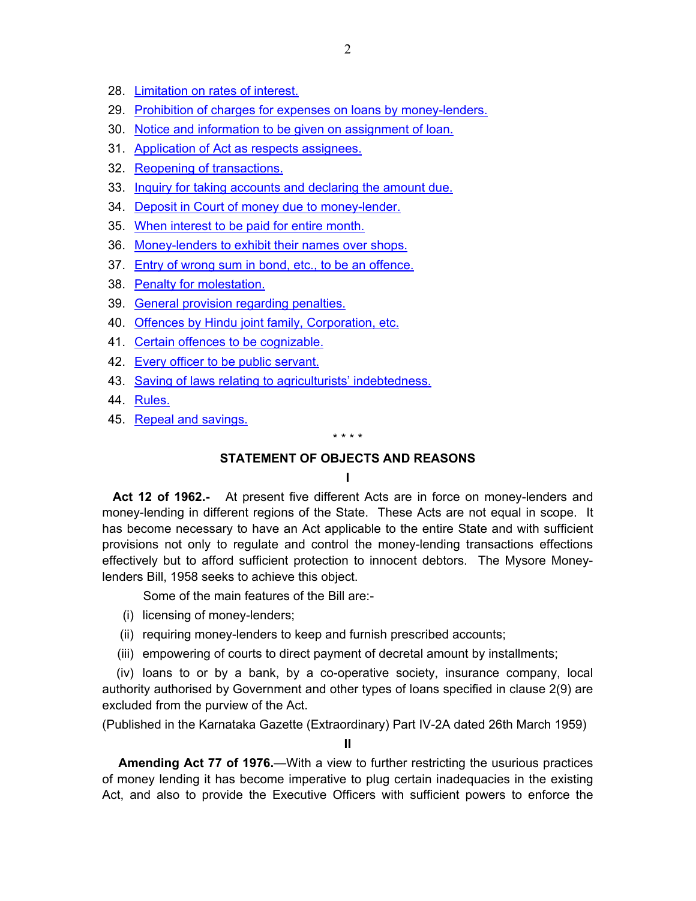- <span id="page-1-0"></span>28. [Limitation on rates of interest.](#page-17-0)
- 29. [Prohibition of charges for expenses on loans by money-lenders.](#page-17-0)
- 30. [Notice and information to be given on assignment of loan.](#page-17-0)
- 31. [Application of Act as respects assignees.](#page-17-0)
- 32. [Reopening of transactions.](#page-18-0)
- 33. [Inquiry for taking accounts and declaring the amount due.](#page-18-0)
- 34. [Deposit in Court of money due to money-lender.](#page-18-0)
- 35. [When interest to be paid for entire month.](#page-19-0)
- 36. [Money-lenders to exhibit their names over shops.](#page-19-0)
- 37. [Entry of wrong sum in bond, etc., to be an offence.](#page-19-0)
- 38. [Penalty for molestation.](#page-19-0)
- 39. [General provision regarding penalties.](#page-19-0)
- 40. [Offences by Hindu joint family, Corporation, etc.](#page-20-0)
- 41. [Certain offences to be cognizable.](#page-20-0)
- 42. [Every officer to be public servant.](#page-20-0)
- 43. [Saving of laws relating to agriculturists' indebtedness.](#page-20-0)
- 44. [Rules.](#page-20-0)
- 45. [Repeal and savings.](#page-21-0)

#### \* \* \* \*

## **STATEMENT OF OBJECTS AND REASONS**

### **I**

 **Act 12 of 1962.-** At present five different Acts are in force on money-lenders and money-lending in different regions of the State. These Acts are not equal in scope. It has become necessary to have an Act applicable to the entire State and with sufficient provisions not only to regulate and control the money-lending transactions effections effectively but to afford sufficient protection to innocent debtors. The Mysore Moneylenders Bill, 1958 seeks to achieve this object.

Some of the main features of the Bill are:-

- (i) licensing of money-lenders;
- (ii) requiring money-lenders to keep and furnish prescribed accounts;
- (iii) empowering of courts to direct payment of decretal amount by installments;

 (iv) loans to or by a bank, by a co-operative society, insurance company, local authority authorised by Government and other types of loans specified in clause 2(9) are excluded from the purview of the Act.

(Published in the Karnataka Gazette (Extraordinary) Part IV-2A dated 26th March 1959)

**II** 

**Amending Act 77 of 1976.**—With a view to further restricting the usurious practices of money lending it has become imperative to plug certain inadequacies in the existing Act, and also to provide the Executive Officers with sufficient powers to enforce the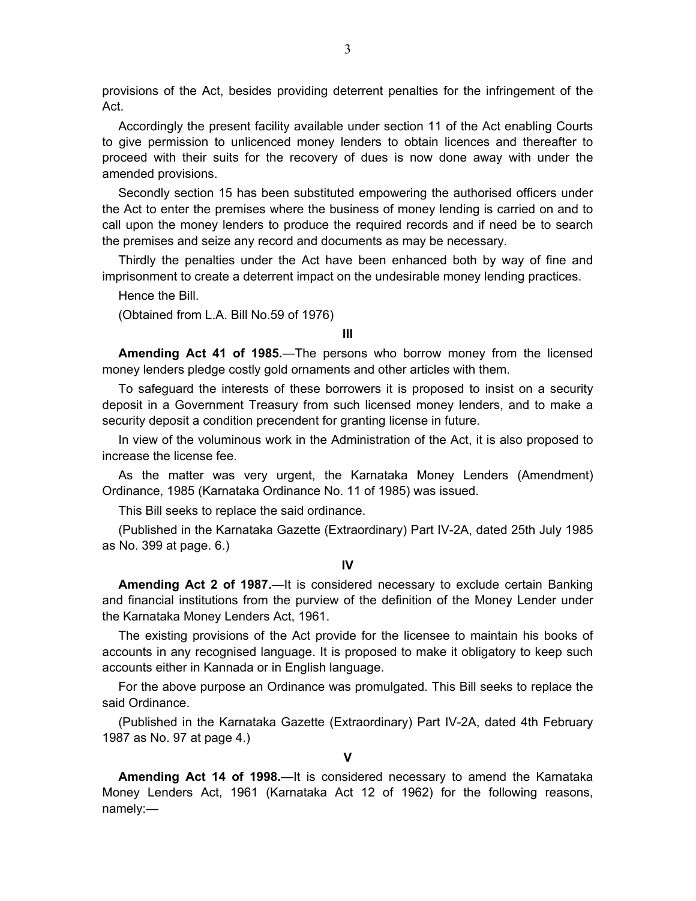provisions of the Act, besides providing deterrent penalties for the infringement of the Act.

Accordingly the present facility available under section 11 of the Act enabling Courts to give permission to unlicenced money lenders to obtain licences and thereafter to proceed with their suits for the recovery of dues is now done away with under the amended provisions.

Secondly section 15 has been substituted empowering the authorised officers under the Act to enter the premises where the business of money lending is carried on and to call upon the money lenders to produce the required records and if need be to search the premises and seize any record and documents as may be necessary.

Thirdly the penalties under the Act have been enhanced both by way of fine and imprisonment to create a deterrent impact on the undesirable money lending practices.

Hence the Bill.

(Obtained from L.A. Bill No.59 of 1976)

**III** 

**Amending Act 41 of 1985.**—The persons who borrow money from the licensed money lenders pledge costly gold ornaments and other articles with them.

To safeguard the interests of these borrowers it is proposed to insist on a security deposit in a Government Treasury from such licensed money lenders, and to make a security deposit a condition precendent for granting license in future.

In view of the voluminous work in the Administration of the Act, it is also proposed to increase the license fee.

As the matter was very urgent, the Karnataka Money Lenders (Amendment) Ordinance, 1985 (Karnataka Ordinance No. 11 of 1985) was issued.

This Bill seeks to replace the said ordinance.

(Published in the Karnataka Gazette (Extraordinary) Part IV-2A, dated 25th July 1985 as No. 399 at page. 6.)

**IV** 

**Amending Act 2 of 1987.**—It is considered necessary to exclude certain Banking and financial institutions from the purview of the definition of the Money Lender under the Karnataka Money Lenders Act, 1961.

The existing provisions of the Act provide for the licensee to maintain his books of accounts in any recognised language. It is proposed to make it obligatory to keep such accounts either in Kannada or in English language.

For the above purpose an Ordinance was promulgated. This Bill seeks to replace the said Ordinance.

(Published in the Karnataka Gazette (Extraordinary) Part IV-2A, dated 4th February 1987 as No. 97 at page 4.)

**V** 

**Amending Act 14 of 1998.**—It is considered necessary to amend the Karnataka Money Lenders Act, 1961 (Karnataka Act 12 of 1962) for the following reasons, namely:—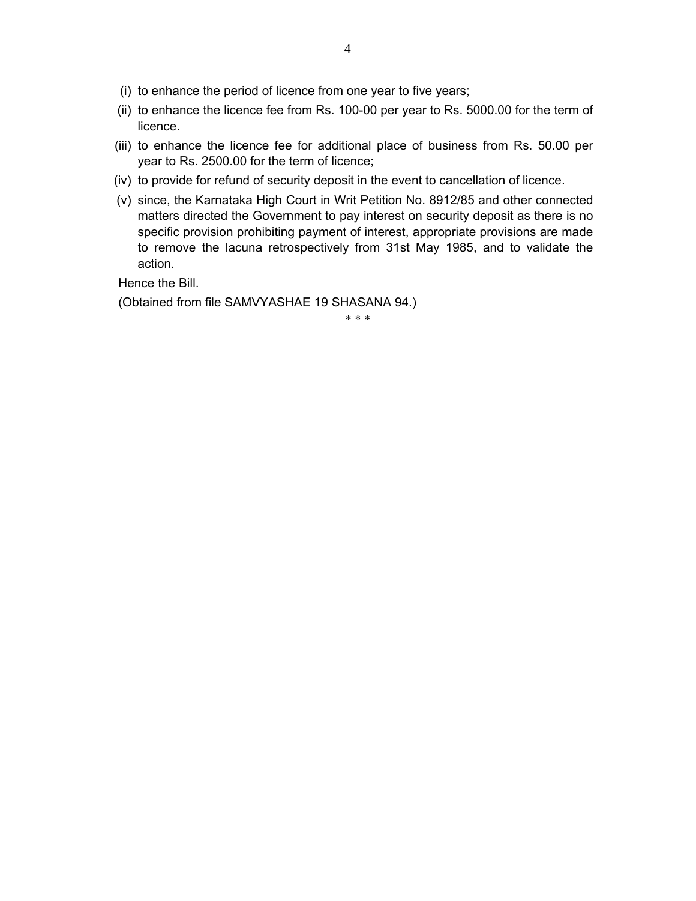- (i) to enhance the period of licence from one year to five years;
- (ii) to enhance the licence fee from Rs. 100-00 per year to Rs. 5000.00 for the term of licence.
- (iii) to enhance the licence fee for additional place of business from Rs. 50.00 per year to Rs. 2500.00 for the term of licence;
- (iv) to provide for refund of security deposit in the event to cancellation of licence.
- (v) since, the Karnataka High Court in Writ Petition No. 8912/85 and other connected matters directed the Government to pay interest on security deposit as there is no specific provision prohibiting payment of interest, appropriate provisions are made to remove the lacuna retrospectively from 31st May 1985, and to validate the action.

Hence the Bill.

(Obtained from file SAMVYASHAE 19 SHASANA 94.)

\* \* \*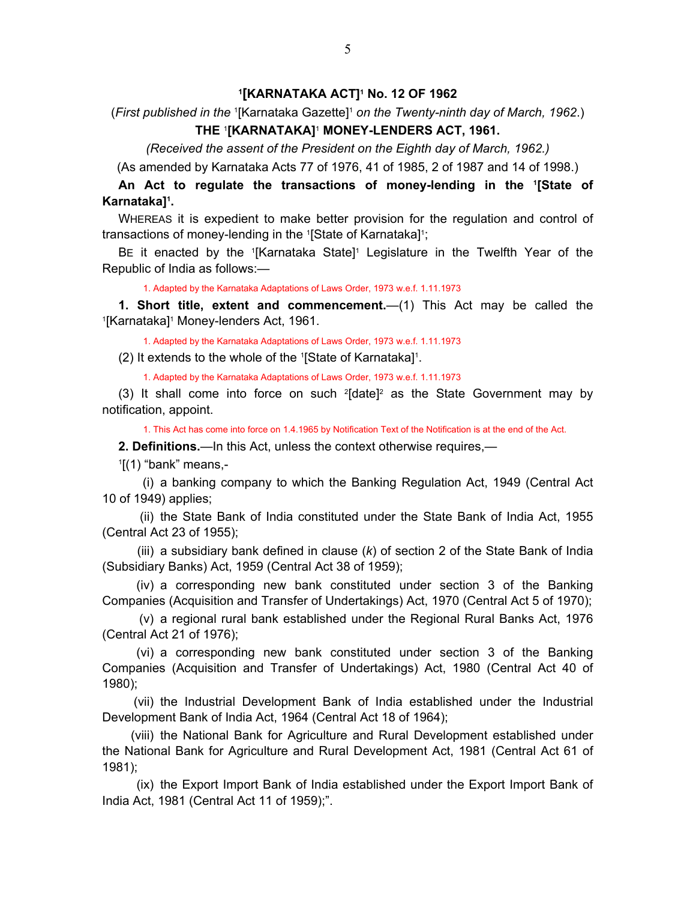## **1[KARNATAKA ACT]1 No. 12 OF 1962**

<span id="page-4-0"></span>(First published in the <sup>1</sup>[Karnataka Gazette]<sup>1</sup> on the Twenty-ninth day of March, 1962.) **THE** <sup>1</sup> **[KARNATAKA]**<sup>1</sup>  **MONEY-LENDERS ACT, 1961.**

*(Received the assent of the President on the Eighth day of March, 1962.)* 

(As amended by Karnataka Acts 77 of 1976, 41 of 1985, 2 of 1987 and 14 of 1998.)

**An Act to regulate the transactions of money-lending in the 1 [State of Karnataka]1 .**

WHEREAS it is expedient to make better provision for the regulation and control of transactions of money-lending in the <sup>1</sup>[State of Karnataka]<sup>1</sup>;

BE it enacted by the '[Karnataka State]' Legislature in the Twelfth Year of the Republic of India as follows:—

1. Adapted by the Karnataka Adaptations of Laws Order, 1973 w.e.f. 1.11.1973

**1. Short title, extent and commencement.**—(1) This Act may be called the [Karnataka]<sup>1</sup> Money-lenders Act, 1961.

1. Adapted by the Karnataka Adaptations of Laws Order, 1973 w.e.f. 1.11.1973

(2) It extends to the whole of the 1 [State of Karnataka]1 .

1. Adapted by the Karnataka Adaptations of Laws Order, 1973 w.e.f. 1.11.1973

(3) It shall come into force on such  $2$ [date]<sup>2</sup> as the State Government may by notification, appoint.

1. This Act has come into force on 1.4.1965 by Notification Text of the Notification is at the end of the Act.

**2. Definitions.**—In this Act, unless the context otherwise requires,—

 $1$ [(1) "bank" means,-

 (i) a banking company to which the Banking Regulation Act, 1949 (Central Act 10 of 1949) applies;

 (ii) the State Bank of India constituted under the State Bank of India Act, 1955 (Central Act 23 of 1955);

 (iii) a subsidiary bank defined in clause (*k*) of section 2 of the State Bank of India (Subsidiary Banks) Act, 1959 (Central Act 38 of 1959);

 (iv) a corresponding new bank constituted under section 3 of the Banking Companies (Acquisition and Transfer of Undertakings) Act, 1970 (Central Act 5 of 1970);

 (v) a regional rural bank established under the Regional Rural Banks Act, 1976 (Central Act 21 of 1976);

 (vi) a corresponding new bank constituted under section 3 of the Banking Companies (Acquisition and Transfer of Undertakings) Act, 1980 (Central Act 40 of 1980);

 (vii) the Industrial Development Bank of India established under the Industrial Development Bank of India Act, 1964 (Central Act 18 of 1964);

 (viii) the National Bank for Agriculture and Rural Development established under the National Bank for Agriculture and Rural Development Act, 1981 (Central Act 61 of 1981);

 (ix) the Export Import Bank of India established under the Export Import Bank of India Act, 1981 (Central Act 11 of 1959);".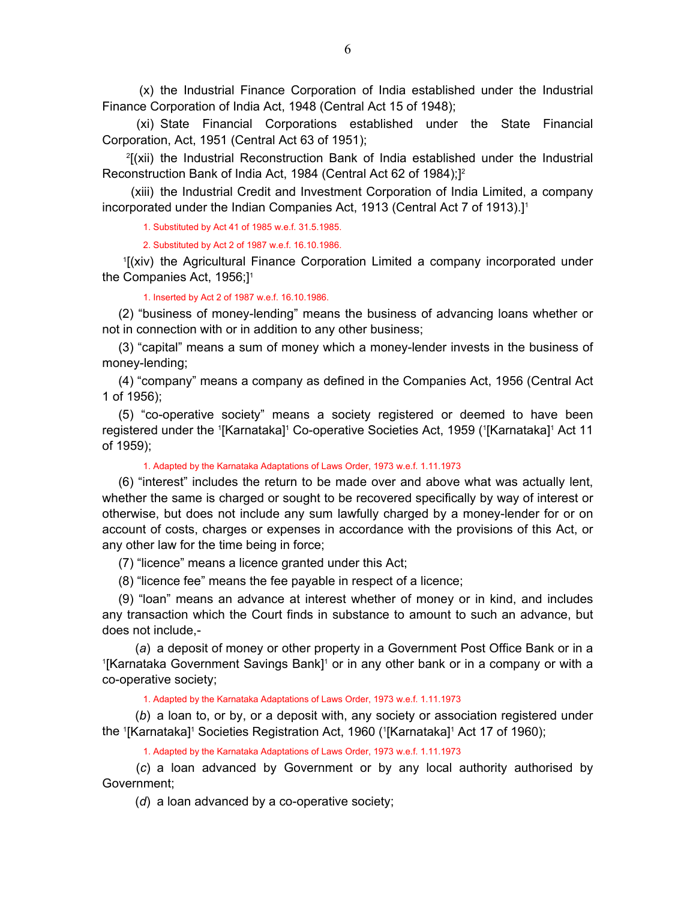(x) the Industrial Finance Corporation of India established under the Industrial Finance Corporation of India Act, 1948 (Central Act 15 of 1948);

 (xi) State Financial Corporations established under the State Financial Corporation, Act, 1951 (Central Act 63 of 1951);

 2[(xii) the Industrial Reconstruction Bank of India established under the Industrial Reconstruction Bank of India Act, 1984 (Central Act 62 of 1984);]2

 (xiii) the Industrial Credit and Investment Corporation of India Limited, a company incorporated under the Indian Companies Act, 1913 (Central Act 7 of 1913).<sup>11</sup>

1. Substituted by Act 41 of 1985 w.e.f. 31.5.1985.

2. Substituted by Act 2 of 1987 w.e.f. 16.10.1986.

 1[(xiv) the Agricultural Finance Corporation Limited a company incorporated under the Companies Act, 1956;<sup>11</sup>

1. Inserted by Act 2 of 1987 w.e.f. 16.10.1986.

(2) "business of money-lending" means the business of advancing loans whether or not in connection with or in addition to any other business;

(3) "capital" means a sum of money which a money-lender invests in the business of money-lending;

(4) "company" means a company as defined in the Companies Act, 1956 (Central Act 1 of 1956);

(5) "co-operative society" means a society registered or deemed to have been registered under the <sup>1</sup>[Karnataka]<sup>1</sup> Co-operative Societies Act, 1959 ('[Karnataka]<sup>1</sup> Act 11 of 1959);

1. Adapted by the Karnataka Adaptations of Laws Order, 1973 w.e.f. 1.11.1973

(6) "interest" includes the return to be made over and above what was actually lent, whether the same is charged or sought to be recovered specifically by way of interest or otherwise, but does not include any sum lawfully charged by a money-lender for or on account of costs, charges or expenses in accordance with the provisions of this Act, or any other law for the time being in force;

(7) "licence" means a licence granted under this Act;

(8) "licence fee" means the fee payable in respect of a licence;

(9) "loan" means an advance at interest whether of money or in kind, and includes any transaction which the Court finds in substance to amount to such an advance, but does not include,-

 (*a*) a deposit of money or other property in a Government Post Office Bank or in a 1 [Karnataka Government Savings Bank]<sup>1</sup> or in any other bank or in a company or with a co-operative society;

1. Adapted by the Karnataka Adaptations of Laws Order, 1973 w.e.f. 1.11.1973

 (*b*) a loan to, or by, or a deposit with, any society or association registered under the <sup>1</sup>[Karnataka]<sup>1</sup> Societies Registration Act, 1960 ('[Karnataka]<sup>1</sup> Act 17 of 1960);

1. Adapted by the Karnataka Adaptations of Laws Order, 1973 w.e.f. 1.11.1973

 (*c*) a loan advanced by Government or by any local authority authorised by Government;

(*d*) a loan advanced by a co-operative society;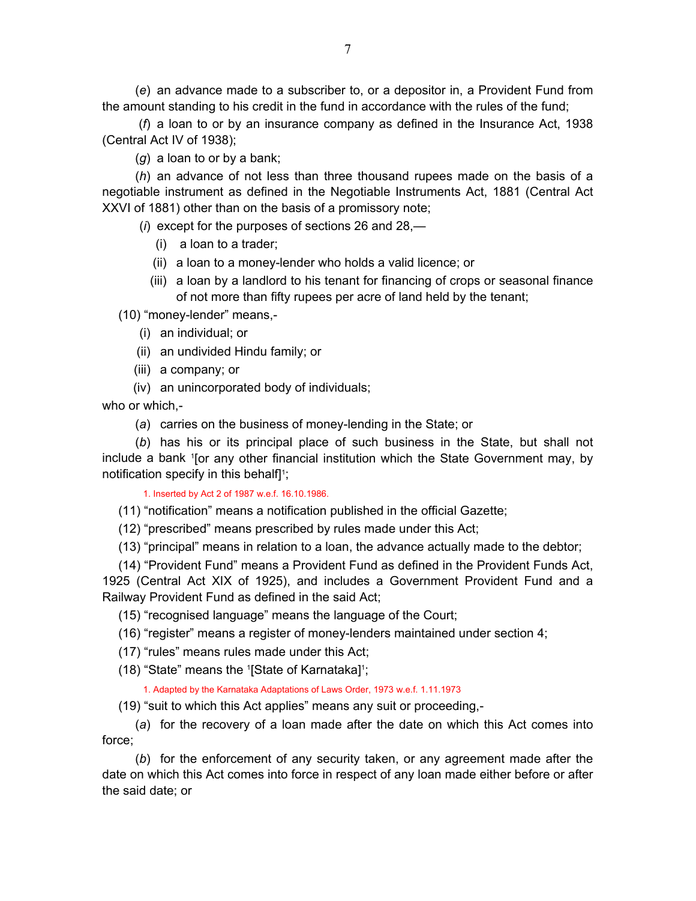(*e*) an advance made to a subscriber to, or a depositor in, a Provident Fund from the amount standing to his credit in the fund in accordance with the rules of the fund;

 (*f*) a loan to or by an insurance company as defined in the Insurance Act, 1938 (Central Act IV of 1938);

(*g*) a loan to or by a bank;

 (*h*) an advance of not less than three thousand rupees made on the basis of a negotiable instrument as defined in the Negotiable Instruments Act, 1881 (Central Act XXVI of 1881) other than on the basis of a promissory note;

(*i*) except for the purposes of sections 26 and 28,—

- (i) a loan to a trader;
- (ii) a loan to a money-lender who holds a valid licence; or
- (iii) a loan by a landlord to his tenant for financing of crops or seasonal finance of not more than fifty rupees per acre of land held by the tenant;

(10) "money-lender" means,-

- (i) an individual; or
- (ii) an undivided Hindu family; or
- (iii) a company; or
- (iv) an unincorporated body of individuals;

who or which,-

(*a*) carries on the business of money-lending in the State; or

 (*b*) has his or its principal place of such business in the State, but shall not include a bank <sup>1</sup> [or any other financial institution which the State Government may, by notification specify in this behalf $1$ ;

1. Inserted by Act 2 of 1987 w.e.f. 16.10.1986.

- (11) "notification" means a notification published in the official Gazette;
- (12) "prescribed" means prescribed by rules made under this Act;
- (13) "principal" means in relation to a loan, the advance actually made to the debtor;

(14) "Provident Fund" means a Provident Fund as defined in the Provident Funds Act, 1925 (Central Act XIX of 1925), and includes a Government Provident Fund and a Railway Provident Fund as defined in the said Act;

- (15) "recognised language" means the language of the Court;
- (16) "register" means a register of money-lenders maintained under section 4;
- (17) "rules" means rules made under this Act;
- $(18)$  "State" means the <sup>1</sup>[State of Karnataka]<sup>1</sup>;

### 1. Adapted by the Karnataka Adaptations of Laws Order, 1973 w.e.f. 1.11.1973

(19) "suit to which this Act applies" means any suit or proceeding,-

 (*a*) for the recovery of a loan made after the date on which this Act comes into force;

 (*b*) for the enforcement of any security taken, or any agreement made after the date on which this Act comes into force in respect of any loan made either before or after the said date; or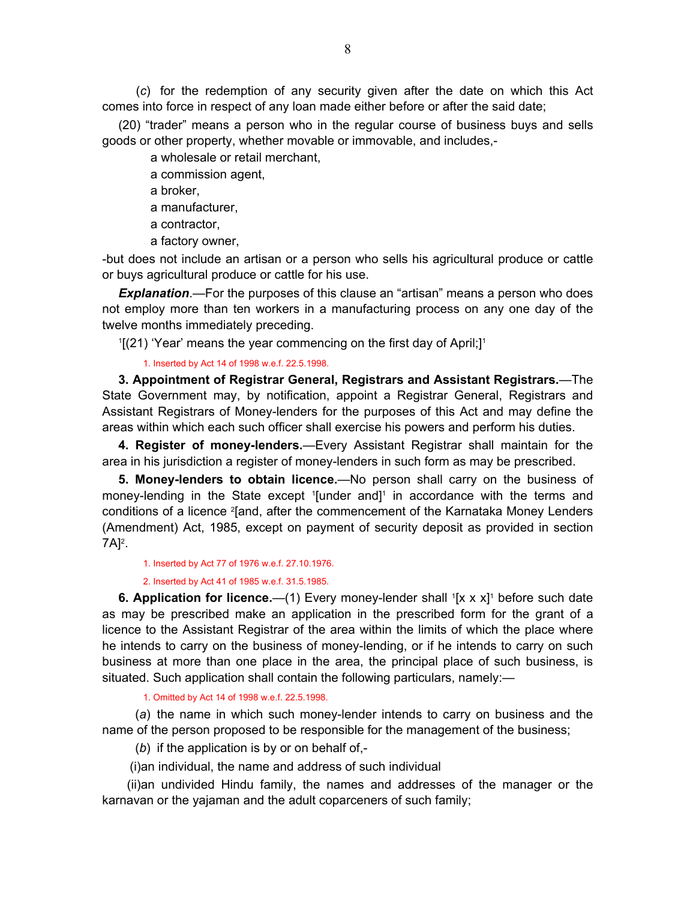<span id="page-7-0"></span> (*c*) for the redemption of any security given after the date on which this Act comes into force in respect of any loan made either before or after the said date;

(20) "trader" means a person who in the regular course of business buys and sells goods or other property, whether movable or immovable, and includes,-

a wholesale or retail merchant,

a commission agent,

a broker,

a manufacturer,

a contractor,

a factory owner,

-but does not include an artisan or a person who sells his agricultural produce or cattle or buys agricultural produce or cattle for his use.

*Explanation*.—For the purposes of this clause an "artisan" means a person who does not employ more than ten workers in a manufacturing process on any one day of the twelve months immediately preceding.

 $1[(21)$  'Year' means the year commencing on the first day of April;]<sup>1</sup>

1. Inserted by Act 14 of 1998 w.e.f. 22.5.1998.

**3. Appointment of Registrar General, Registrars and Assistant Registrars.**—The State Government may, by notification, appoint a Registrar General, Registrars and Assistant Registrars of Money-lenders for the purposes of this Act and may define the areas within which each such officer shall exercise his powers and perform his duties.

**4. Register of money-lenders.**—Every Assistant Registrar shall maintain for the area in his jurisdiction a register of money-lenders in such form as may be prescribed.

**5. Money-lenders to obtain licence.**—No person shall carry on the business of money-lending in the State except <sup>1</sup>[under and]<sup>1</sup> in accordance with the terms and conditions of a licence <sup>2</sup>[and, after the commencement of the Karnataka Money Lenders (Amendment) Act, 1985, except on payment of security deposit as provided in section 7A]<sup>2</sup>.

1. Inserted by Act 77 of 1976 w.e.f. 27.10.1976.

2. Inserted by Act 41 of 1985 w.e.f. 31.5.1985.

**6. Application for licence.**  $-$ (1) Every money-lender shall  $[$ [x x x]<sup>1</sup> before such date as may be prescribed make an application in the prescribed form for the grant of a licence to the Assistant Registrar of the area within the limits of which the place where he intends to carry on the business of money-lending, or if he intends to carry on such business at more than one place in the area, the principal place of such business, is situated. Such application shall contain the following particulars, namely:—

1. Omitted by Act 14 of 1998 w.e.f. 22.5.1998.

 (*a*) the name in which such money-lender intends to carry on business and the name of the person proposed to be responsible for the management of the business;

(*b*) if the application is by or on behalf of,-

(i)an individual, the name and address of such individual

 (ii)an undivided Hindu family, the names and addresses of the manager or the karnavan or the yajaman and the adult coparceners of such family;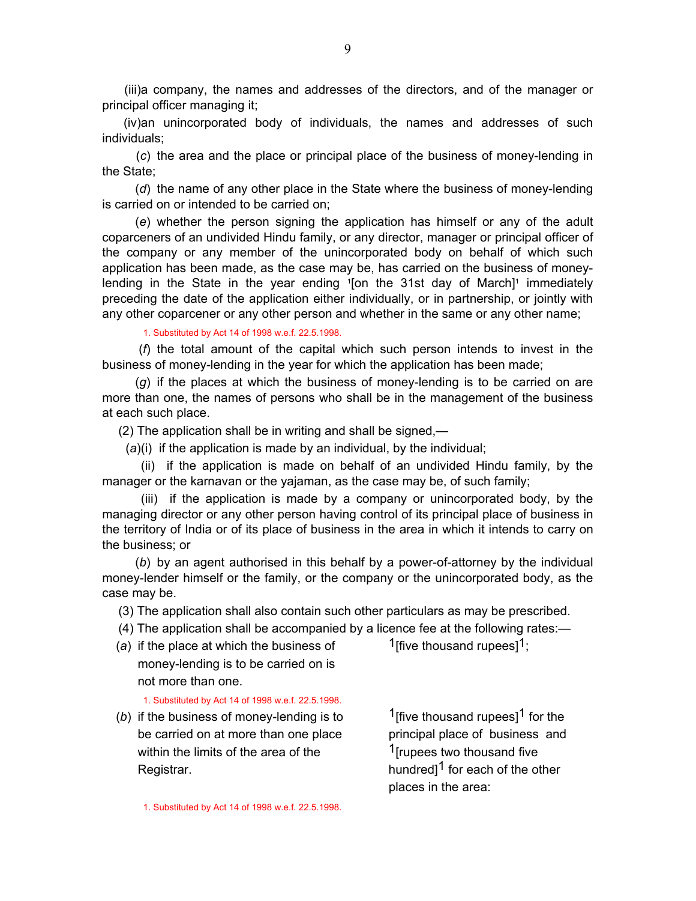(iii)a company, the names and addresses of the directors, and of the manager or principal officer managing it;

 (iv)an unincorporated body of individuals, the names and addresses of such individuals;

 (*c*) the area and the place or principal place of the business of money-lending in the State;

 (*d*) the name of any other place in the State where the business of money-lending is carried on or intended to be carried on;

 (*e*) whether the person signing the application has himself or any of the adult coparceners of an undivided Hindu family, or any director, manager or principal officer of the company or any member of the unincorporated body on behalf of which such application has been made, as the case may be, has carried on the business of moneylending in the State in the year ending <sup>1</sup>[on the 31st day of March]<sup>1</sup> immediately preceding the date of the application either individually, or in partnership, or jointly with any other coparcener or any other person and whether in the same or any other name;

1. Substituted by Act 14 of 1998 w.e.f. 22.5.1998.

 (*f*) the total amount of the capital which such person intends to invest in the business of money-lending in the year for which the application has been made;

 (*g*) if the places at which the business of money-lending is to be carried on are more than one, the names of persons who shall be in the management of the business at each such place.

(2) The application shall be in writing and shall be signed,—

(*a*)(i) if the application is made by an individual, by the individual;

 (ii) if the application is made on behalf of an undivided Hindu family, by the manager or the karnavan or the yajaman, as the case may be, of such family;

 (iii) if the application is made by a company or unincorporated body, by the managing director or any other person having control of its principal place of business in the territory of India or of its place of business in the area in which it intends to carry on the business; or

 (*b*) by an agent authorised in this behalf by a power-of-attorney by the individual money-lender himself or the family, or the company or the unincorporated body, as the case may be.

(3) The application shall also contain such other particulars as may be prescribed.

(4) The application shall be accompanied by a licence fee at the following rates:—

(a) if the place at which the business of  $1$ <sup>[five thousand rupees]<sup>1</sup>;</sup> money-lending is to be carried on is not more than one.

1. Substituted by Act 14 of 1998 w.e.f. 22.5.1998.

(b) if the business of money-lending is to  $1$ [five thousand rupees]<sup>1</sup> for the be carried on at more than one place principal place of business and within the limits of the area of the  $1$ [rupees two thousand five Registrar.  $\blacksquare$  Registrar.

places in the area:

1. Substituted by Act 14 of 1998 w.e.f. 22.5.1998.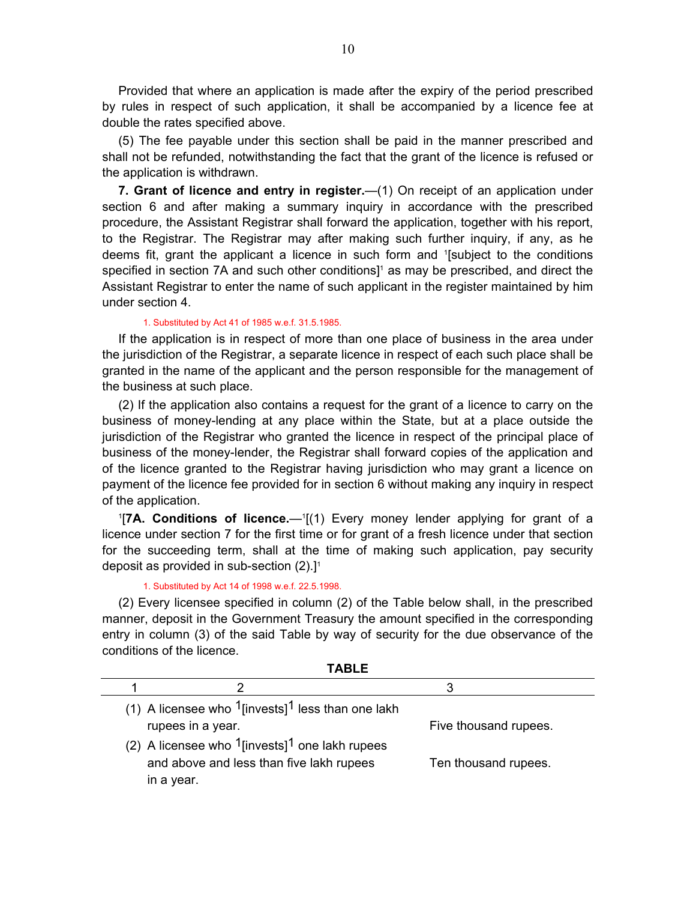<span id="page-9-0"></span>Provided that where an application is made after the expiry of the period prescribed by rules in respect of such application, it shall be accompanied by a licence fee at double the rates specified above.

(5) The fee payable under this section shall be paid in the manner prescribed and shall not be refunded, notwithstanding the fact that the grant of the licence is refused or the application is withdrawn.

**7. Grant of licence and entry in register.**—(1) On receipt of an application under section 6 and after making a summary inquiry in accordance with the prescribed procedure, the Assistant Registrar shall forward the application, together with his report, to the Registrar. The Registrar may after making such further inquiry, if any, as he deems fit, grant the applicant a licence in such form and 1 [subject to the conditions specified in section 7A and such other conditions]<sup>1</sup> as may be prescribed, and direct the Assistant Registrar to enter the name of such applicant in the register maintained by him under section 4.

#### 1. Substituted by Act 41 of 1985 w.e.f. 31.5.1985.

If the application is in respect of more than one place of business in the area under the jurisdiction of the Registrar, a separate licence in respect of each such place shall be granted in the name of the applicant and the person responsible for the management of the business at such place.

(2) If the application also contains a request for the grant of a licence to carry on the business of money-lending at any place within the State, but at a place outside the jurisdiction of the Registrar who granted the licence in respect of the principal place of business of the money-lender, the Registrar shall forward copies of the application and of the licence granted to the Registrar having jurisdiction who may grant a licence on payment of the licence fee provided for in section 6 without making any inquiry in respect of the application.

<sup>1</sup>[7A. Conditions of licence.—<sup>1</sup>[(1) Every money lender applying for grant of a licence under section 7 for the first time or for grant of a fresh licence under that section for the succeeding term, shall at the time of making such application, pay security deposit as provided in sub-section  $(2).1<sup>1</sup>$ 

1. Substituted by Act 14 of 1998 w.e.f. 22.5.1998.

(2) Every licensee specified in column (2) of the Table below shall, in the prescribed manner, deposit in the Government Treasury the amount specified in the corresponding entry in column (3) of the said Table by way of security for the due observance of the conditions of the licence.

**TABLE**

| 1 ADI F                                                          |                       |
|------------------------------------------------------------------|-----------------------|
|                                                                  |                       |
| (1) A licensee who $1$ [invests] <sup>1</sup> less than one lakh |                       |
| rupees in a year.                                                | Five thousand rupees. |
| (2) A licensee who $1$ [invests] <sup>1</sup> one lakh rupees    |                       |
| and above and less than five lakh rupees                         | Ten thousand rupees.  |
| in a year.                                                       |                       |
|                                                                  |                       |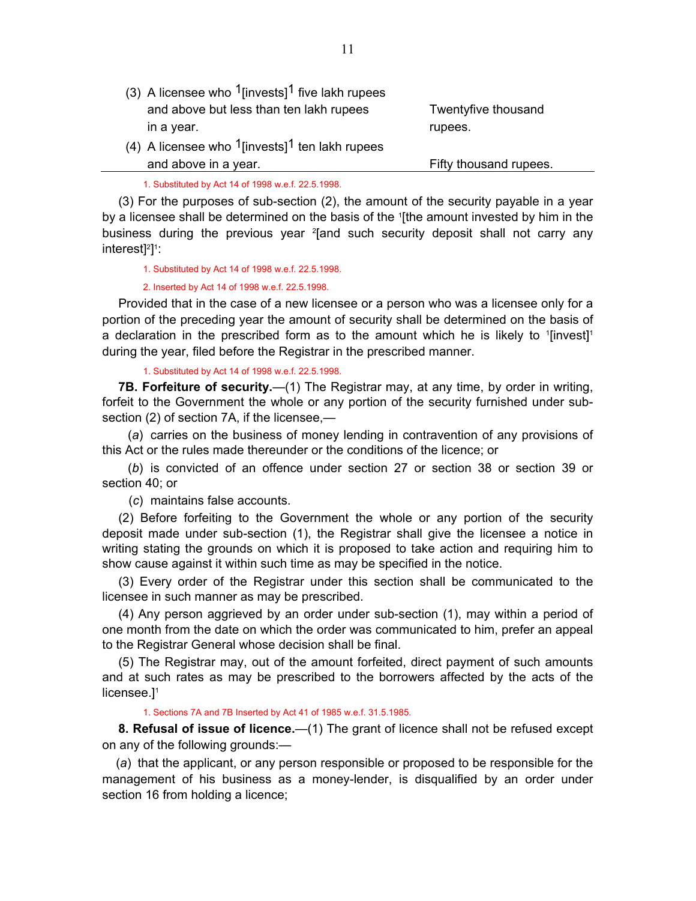- <span id="page-10-0"></span>(3) A licensee who  $1$ [invests]<sup>1</sup> five lakh rupees and above but less than ten lakh rupees Twentyfive thousand in a year. The contract of the contract of the contract of the contract of the contract of the contract of the contract of the contract of the contract of the contract of the contract of the contract of the contract of the
- (4) A licensee who  $1$ [invests]<sup>1</sup> ten lakh rupees and above in a year. The same state of the Fifty thousand rupees.

1. Substituted by Act 14 of 1998 w.e.f. 22.5.1998.

(3) For the purposes of sub-section (2), the amount of the security payable in a year by a licensee shall be determined on the basis of the 1[the amount invested by him in the business during the previous year <sup>2</sup> [and such security deposit shall not carry any interest]<sup>2</sup>]<sup>1</sup>:

1. Substituted by Act 14 of 1998 w.e.f. 22.5.1998.

2. Inserted by Act 14 of 1998 w.e.f. 22.5.1998.

Provided that in the case of a new licensee or a person who was a licensee only for a portion of the preceding year the amount of security shall be determined on the basis of a declaration in the prescribed form as to the amount which he is likely to  $[$ [invest]<sup>1</sup> during the year, filed before the Registrar in the prescribed manner.

1. Substituted by Act 14 of 1998 w.e.f. 22.5.1998.

**7B. Forfeiture of security.**—(1) The Registrar may, at any time, by order in writing, forfeit to the Government the whole or any portion of the security furnished under subsection (2) of section 7A, if the licensee,—

 (*a*) carries on the business of money lending in contravention of any provisions of this Act or the rules made thereunder or the conditions of the licence; or

 (*b*) is convicted of an offence under section 27 or section 38 or section 39 or section 40; or

(*c*) maintains false accounts.

(2) Before forfeiting to the Government the whole or any portion of the security deposit made under sub-section (1), the Registrar shall give the licensee a notice in writing stating the grounds on which it is proposed to take action and requiring him to show cause against it within such time as may be specified in the notice.

(3) Every order of the Registrar under this section shall be communicated to the licensee in such manner as may be prescribed.

(4) Any person aggrieved by an order under sub-section (1), may within a period of one month from the date on which the order was communicated to him, prefer an appeal to the Registrar General whose decision shall be final.

(5) The Registrar may, out of the amount forfeited, direct payment of such amounts and at such rates as may be prescribed to the borrowers affected by the acts of the licensee.<sup>1</sup>

1. Sections 7A and 7B Inserted by Act 41 of 1985 w.e.f. 31.5.1985.

**8. Refusal of issue of licence.**—(1) The grant of licence shall not be refused except on any of the following grounds:—

 (*a*) that the applicant, or any person responsible or proposed to be responsible for the management of his business as a money-lender, is disqualified by an order under section 16 from holding a licence;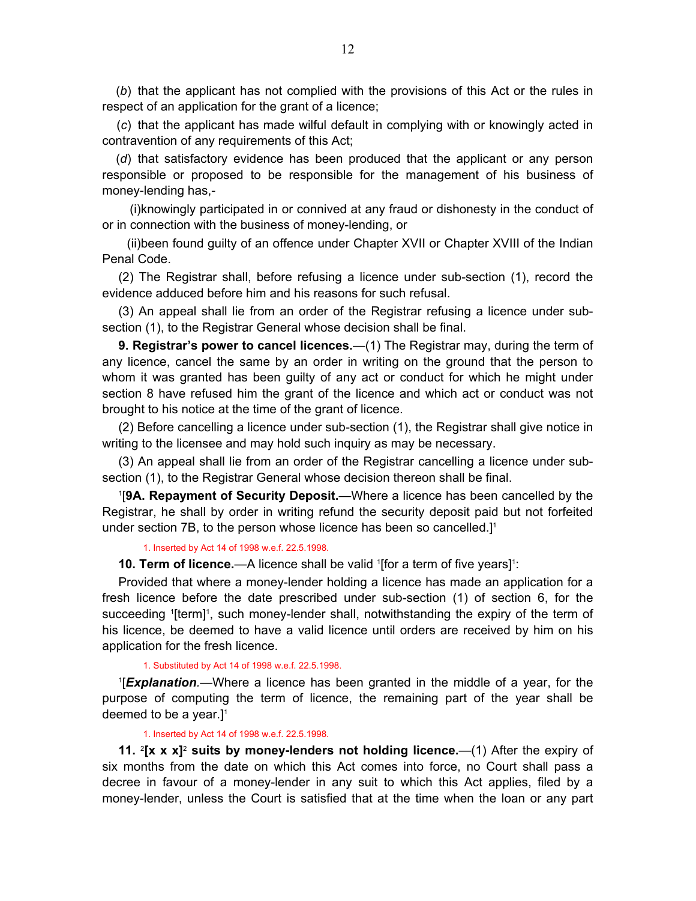<span id="page-11-0"></span> (*b*) that the applicant has not complied with the provisions of this Act or the rules in respect of an application for the grant of a licence;

 (*c*) that the applicant has made wilful default in complying with or knowingly acted in contravention of any requirements of this Act;

 (*d*) that satisfactory evidence has been produced that the applicant or any person responsible or proposed to be responsible for the management of his business of money-lending has,-

 (i)knowingly participated in or connived at any fraud or dishonesty in the conduct of or in connection with the business of money-lending, or

 (ii)been found guilty of an offence under Chapter XVII or Chapter XVIII of the Indian Penal Code.

(2) The Registrar shall, before refusing a licence under sub-section (1), record the evidence adduced before him and his reasons for such refusal.

(3) An appeal shall lie from an order of the Registrar refusing a licence under subsection (1), to the Registrar General whose decision shall be final.

**9. Registrar's power to cancel licences.**—(1) The Registrar may, during the term of any licence, cancel the same by an order in writing on the ground that the person to whom it was granted has been guilty of any act or conduct for which he might under section 8 have refused him the grant of the licence and which act or conduct was not brought to his notice at the time of the grant of licence.

(2) Before cancelling a licence under sub-section (1), the Registrar shall give notice in writing to the licensee and may hold such inquiry as may be necessary.

(3) An appeal shall lie from an order of the Registrar cancelling a licence under subsection (1), to the Registrar General whose decision thereon shall be final.

1 [**9A. Repayment of Security Deposit.**—Where a licence has been cancelled by the Registrar, he shall by order in writing refund the security deposit paid but not forfeited under section 7B, to the person whose licence has been so cancelled.]<sup>1</sup>

1. Inserted by Act 14 of 1998 w.e.f. 22.5.1998.

**10. Term of licence.**—A licence shall be valid '[for a term of five years]<sup>1</sup>:

Provided that where a money-lender holding a licence has made an application for a fresh licence before the date prescribed under sub-section (1) of section 6, for the succeeding '[term]', such money-lender shall, notwithstanding the expiry of the term of his licence, be deemed to have a valid licence until orders are received by him on his application for the fresh licence.

#### 1. Substituted by Act 14 of 1998 w.e.f. 22.5.1998.

1 [*Explanation.*—Where a licence has been granted in the middle of a year, for the purpose of computing the term of licence, the remaining part of the year shall be deemed to be a year.]<sup>1</sup>

#### 1. Inserted by Act 14 of 1998 w.e.f. 22.5.1998.

**11.** <sup>2</sup>[**x x x**]<sup>2</sup> suits by money-lenders not holding licence.—(1) After the expiry of six months from the date on which this Act comes into force, no Court shall pass a decree in favour of a money-lender in any suit to which this Act applies, filed by a money-lender, unless the Court is satisfied that at the time when the loan or any part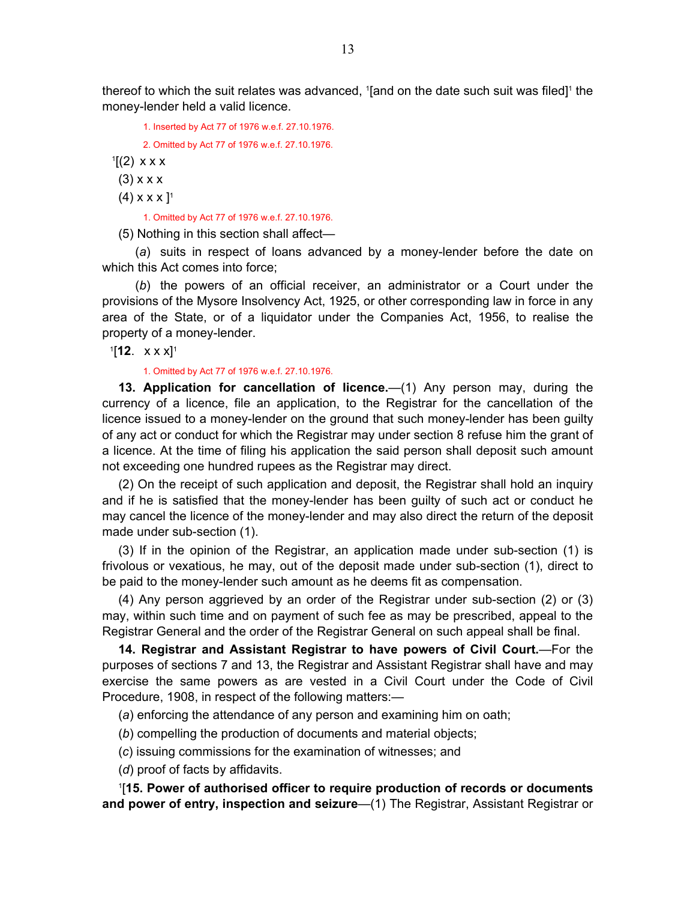<span id="page-12-0"></span>thereof to which the suit relates was advanced,  $1$ [and on the date such suit was filed]<sup>1</sup> the money-lender held a valid licence.

1. Inserted by Act 77 of 1976 w.e.f. 27.10.1976.

2. Omitted by Act 77 of 1976 w.e.f. 27.10.1976.

 $1[(2)$  x x x

 $(3)$  x x x

 $(4)$  x x x  $]$ <sup>1</sup>

1. Omitted by Act 77 of 1976 w.e.f. 27.10.1976.

(5) Nothing in this section shall affect—

 (*a*) suits in respect of loans advanced by a money-lender before the date on which this Act comes into force;

 (*b*) the powers of an official receiver, an administrator or a Court under the provisions of the Mysore Insolvency Act, 1925, or other corresponding law in force in any area of the State, or of a liquidator under the Companies Act, 1956, to realise the property of a money-lender.

1[**12**. x x x]1

#### 1. Omitted by Act 77 of 1976 w.e.f. 27.10.1976.

**13. Application for cancellation of licence.**—(1) Any person may, during the currency of a licence, file an application, to the Registrar for the cancellation of the licence issued to a money-lender on the ground that such money-lender has been guilty of any act or conduct for which the Registrar may under section 8 refuse him the grant of a licence. At the time of filing his application the said person shall deposit such amount not exceeding one hundred rupees as the Registrar may direct.

(2) On the receipt of such application and deposit, the Registrar shall hold an inquiry and if he is satisfied that the money-lender has been guilty of such act or conduct he may cancel the licence of the money-lender and may also direct the return of the deposit made under sub-section (1).

(3) If in the opinion of the Registrar, an application made under sub-section (1) is frivolous or vexatious, he may, out of the deposit made under sub-section (1), direct to be paid to the money-lender such amount as he deems fit as compensation.

(4) Any person aggrieved by an order of the Registrar under sub-section (2) or (3) may, within such time and on payment of such fee as may be prescribed, appeal to the Registrar General and the order of the Registrar General on such appeal shall be final.

**14. Registrar and Assistant Registrar to have powers of Civil Court.**—For the purposes of sections 7 and 13, the Registrar and Assistant Registrar shall have and may exercise the same powers as are vested in a Civil Court under the Code of Civil Procedure, 1908, in respect of the following matters:—

(*a*) enforcing the attendance of any person and examining him on oath;

(*b*) compelling the production of documents and material objects;

(*c*) issuing commissions for the examination of witnesses; and

(*d*) proof of facts by affidavits.

1 [**15. Power of authorised officer to require production of records or documents and power of entry, inspection and seizure**—(1) The Registrar, Assistant Registrar or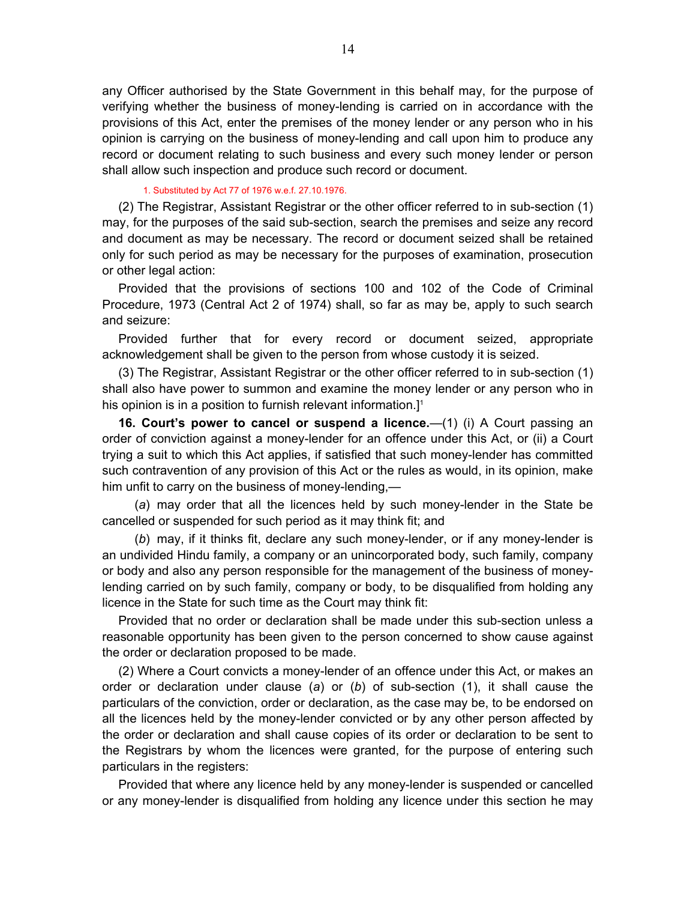<span id="page-13-0"></span>any Officer authorised by the State Government in this behalf may, for the purpose of verifying whether the business of money-lending is carried on in accordance with the provisions of this Act, enter the premises of the money lender or any person who in his opinion is carrying on the business of money-lending and call upon him to produce any record or document relating to such business and every such money lender or person shall allow such inspection and produce such record or document.

#### 1. Substituted by Act 77 of 1976 w.e.f. 27.10.1976.

(2) The Registrar, Assistant Registrar or the other officer referred to in sub-section (1) may, for the purposes of the said sub-section, search the premises and seize any record and document as may be necessary. The record or document seized shall be retained only for such period as may be necessary for the purposes of examination, prosecution or other legal action:

Provided that the provisions of sections 100 and 102 of the Code of Criminal Procedure, 1973 (Central Act 2 of 1974) shall, so far as may be, apply to such search and seizure:

Provided further that for every record or document seized, appropriate acknowledgement shall be given to the person from whose custody it is seized.

(3) The Registrar, Assistant Registrar or the other officer referred to in sub-section (1) shall also have power to summon and examine the money lender or any person who in his opinion is in a position to furnish relevant information.<sup>[1]</sup>

**16. Court's power to cancel or suspend a licence.**—(1) (i) A Court passing an order of conviction against a money-lender for an offence under this Act, or (ii) a Court trying a suit to which this Act applies, if satisfied that such money-lender has committed such contravention of any provision of this Act or the rules as would, in its opinion, make him unfit to carry on the business of money-lending,—

 (*a*) may order that all the licences held by such money-lender in the State be cancelled or suspended for such period as it may think fit; and

 (*b*) may, if it thinks fit, declare any such money-lender, or if any money-lender is an undivided Hindu family, a company or an unincorporated body, such family, company or body and also any person responsible for the management of the business of moneylending carried on by such family, company or body, to be disqualified from holding any licence in the State for such time as the Court may think fit:

Provided that no order or declaration shall be made under this sub-section unless a reasonable opportunity has been given to the person concerned to show cause against the order or declaration proposed to be made.

(2) Where a Court convicts a money-lender of an offence under this Act, or makes an order or declaration under clause (*a*) or (*b*) of sub-section (1), it shall cause the particulars of the conviction, order or declaration, as the case may be, to be endorsed on all the licences held by the money-lender convicted or by any other person affected by the order or declaration and shall cause copies of its order or declaration to be sent to the Registrars by whom the licences were granted, for the purpose of entering such particulars in the registers:

Provided that where any licence held by any money-lender is suspended or cancelled or any money-lender is disqualified from holding any licence under this section he may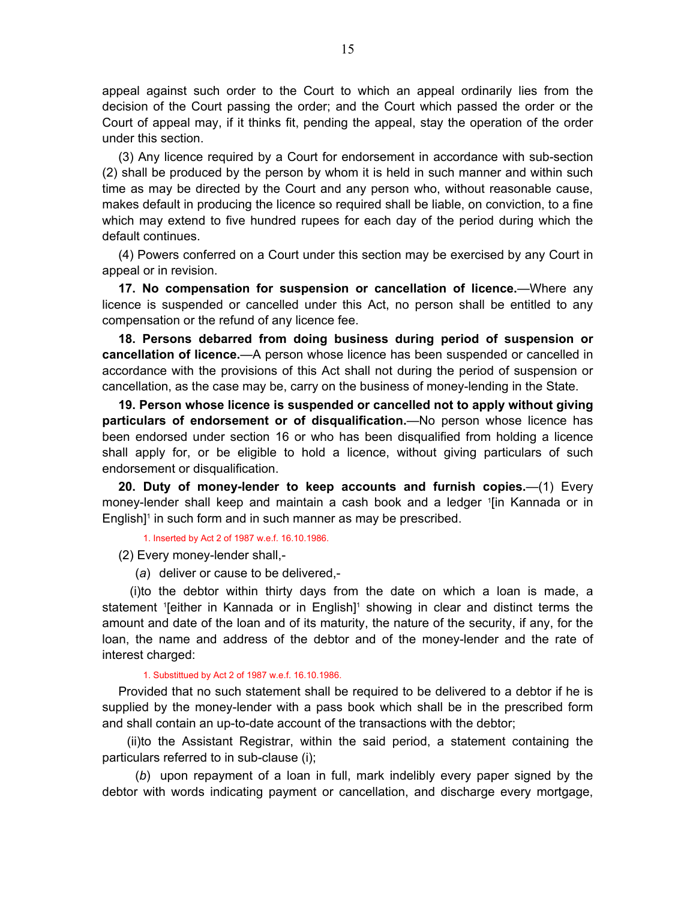<span id="page-14-0"></span>appeal against such order to the Court to which an appeal ordinarily lies from the decision of the Court passing the order; and the Court which passed the order or the Court of appeal may, if it thinks fit, pending the appeal, stay the operation of the order under this section.

(3) Any licence required by a Court for endorsement in accordance with sub-section (2) shall be produced by the person by whom it is held in such manner and within such time as may be directed by the Court and any person who, without reasonable cause, makes default in producing the licence so required shall be liable, on conviction, to a fine which may extend to five hundred rupees for each day of the period during which the default continues.

(4) Powers conferred on a Court under this section may be exercised by any Court in appeal or in revision.

**17. No compensation for suspension or cancellation of licence.**—Where any licence is suspended or cancelled under this Act, no person shall be entitled to any compensation or the refund of any licence fee.

**18. Persons debarred from doing business during period of suspension or cancellation of licence.**—A person whose licence has been suspended or cancelled in accordance with the provisions of this Act shall not during the period of suspension or cancellation, as the case may be, carry on the business of money-lending in the State.

**19. Person whose licence is suspended or cancelled not to apply without giving particulars of endorsement or of disqualification.**—No person whose licence has been endorsed under section 16 or who has been disqualified from holding a licence shall apply for, or be eligible to hold a licence, without giving particulars of such endorsement or disqualification.

**20. Duty of money-lender to keep accounts and furnish copies.**—(1) Every money-lender shall keep and maintain a cash book and a ledger 1 [in Kannada or in English]<sup>1</sup> in such form and in such manner as may be prescribed.

1. Inserted by Act 2 of 1987 w.e.f. 16.10.1986.

(2) Every money-lender shall,-

(*a*) deliver or cause to be delivered,-

 (i)to the debtor within thirty days from the date on which a loan is made, a statement <sup>1</sup> [either in Kannada or in English]<sup>1</sup> showing in clear and distinct terms the amount and date of the loan and of its maturity, the nature of the security, if any, for the loan, the name and address of the debtor and of the money-lender and the rate of interest charged:

1. Substittued by Act 2 of 1987 w.e.f. 16.10.1986.

Provided that no such statement shall be required to be delivered to a debtor if he is supplied by the money-lender with a pass book which shall be in the prescribed form and shall contain an up-to-date account of the transactions with the debtor;

 (ii)to the Assistant Registrar, within the said period, a statement containing the particulars referred to in sub-clause (i);

 (*b*) upon repayment of a loan in full, mark indelibly every paper signed by the debtor with words indicating payment or cancellation, and discharge every mortgage,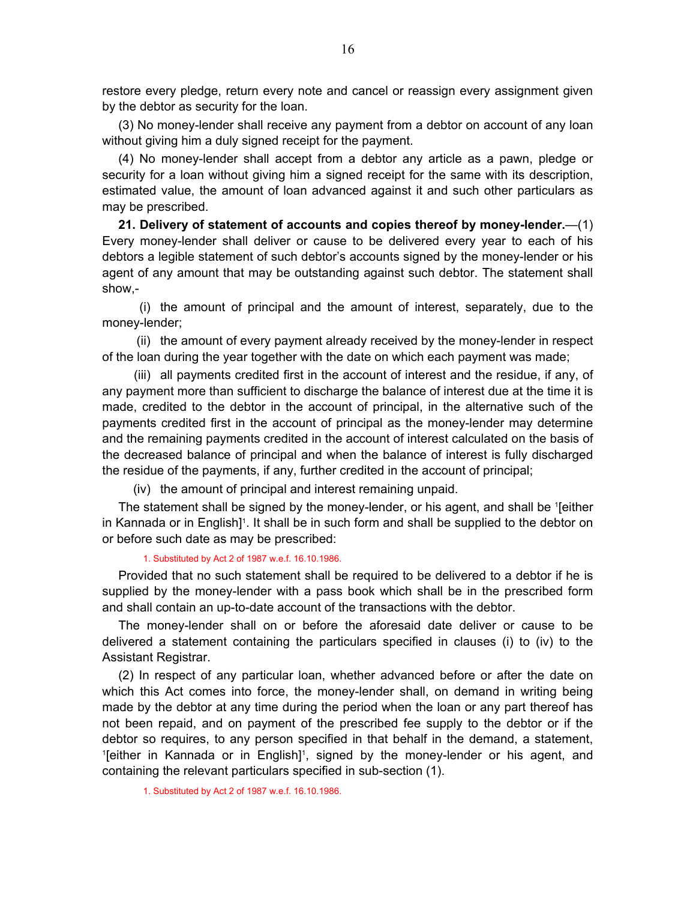<span id="page-15-0"></span>restore every pledge, return every note and cancel or reassign every assignment given by the debtor as security for the loan.

(3) No money-lender shall receive any payment from a debtor on account of any loan without giving him a duly signed receipt for the payment.

(4) No money-lender shall accept from a debtor any article as a pawn, pledge or security for a loan without giving him a signed receipt for the same with its description, estimated value, the amount of loan advanced against it and such other particulars as may be prescribed.

**21. Delivery of statement of accounts and copies thereof by money-lender.**—(1) Every money-lender shall deliver or cause to be delivered every year to each of his debtors a legible statement of such debtor's accounts signed by the money-lender or his agent of any amount that may be outstanding against such debtor. The statement shall show,-

 (i) the amount of principal and the amount of interest, separately, due to the money-lender;

 (ii) the amount of every payment already received by the money-lender in respect of the loan during the year together with the date on which each payment was made;

 (iii) all payments credited first in the account of interest and the residue, if any, of any payment more than sufficient to discharge the balance of interest due at the time it is made, credited to the debtor in the account of principal, in the alternative such of the payments credited first in the account of principal as the money-lender may determine and the remaining payments credited in the account of interest calculated on the basis of the decreased balance of principal and when the balance of interest is fully discharged the residue of the payments, if any, further credited in the account of principal;

(iv) the amount of principal and interest remaining unpaid.

The statement shall be signed by the money-lender, or his agent, and shall be '[either in Kannada or in English]<sup>1</sup>. It shall be in such form and shall be supplied to the debtor on or before such date as may be prescribed:

1. Substituted by Act 2 of 1987 w.e.f. 16.10.1986.

Provided that no such statement shall be required to be delivered to a debtor if he is supplied by the money-lender with a pass book which shall be in the prescribed form and shall contain an up-to-date account of the transactions with the debtor.

The money-lender shall on or before the aforesaid date deliver or cause to be delivered a statement containing the particulars specified in clauses (i) to (iv) to the Assistant Registrar.

(2) In respect of any particular loan, whether advanced before or after the date on which this Act comes into force, the money-lender shall, on demand in writing being made by the debtor at any time during the period when the loan or any part thereof has not been repaid, and on payment of the prescribed fee supply to the debtor or if the debtor so requires, to any person specified in that behalf in the demand, a statement, <sup>1</sup>[either in Kannada or in English]<sup>1</sup>, signed by the money-lender or his agent, and containing the relevant particulars specified in sub-section (1).

1. Substituted by Act 2 of 1987 w.e.f. 16.10.1986.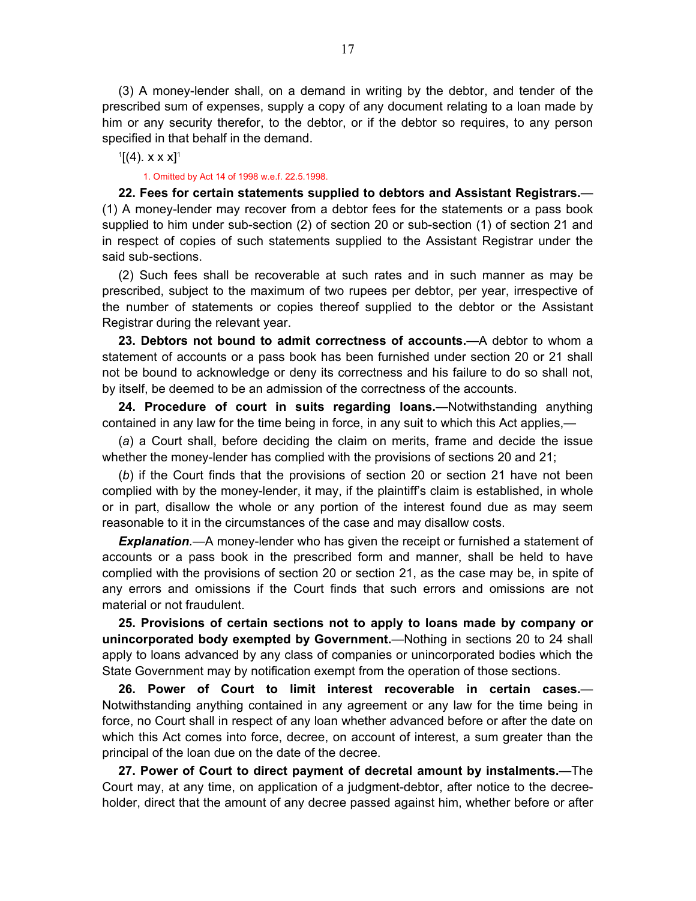<span id="page-16-0"></span>(3) A money-lender shall, on a demand in writing by the debtor, and tender of the prescribed sum of expenses, supply a copy of any document relating to a loan made by him or any security therefor, to the debtor, or if the debtor so requires, to any person specified in that behalf in the demand.

 $[4]$ . x x x]<sup>1</sup>

#### 1. Omitted by Act 14 of 1998 w.e.f. 22.5.1998.

**22. Fees for certain statements supplied to debtors and Assistant Registrars.**— (1) A money-lender may recover from a debtor fees for the statements or a pass book supplied to him under sub-section (2) of section 20 or sub-section (1) of section 21 and in respect of copies of such statements supplied to the Assistant Registrar under the said sub-sections.

(2) Such fees shall be recoverable at such rates and in such manner as may be prescribed, subject to the maximum of two rupees per debtor, per year, irrespective of the number of statements or copies thereof supplied to the debtor or the Assistant Registrar during the relevant year.

**23. Debtors not bound to admit correctness of accounts.**—A debtor to whom a statement of accounts or a pass book has been furnished under section 20 or 21 shall not be bound to acknowledge or deny its correctness and his failure to do so shall not, by itself, be deemed to be an admission of the correctness of the accounts.

**24. Procedure of court in suits regarding loans.**—Notwithstanding anything contained in any law for the time being in force, in any suit to which this Act applies,—

(*a*) a Court shall, before deciding the claim on merits, frame and decide the issue whether the money-lender has complied with the provisions of sections 20 and 21;

(*b*) if the Court finds that the provisions of section 20 or section 21 have not been complied with by the money-lender, it may, if the plaintiff's claim is established, in whole or in part, disallow the whole or any portion of the interest found due as may seem reasonable to it in the circumstances of the case and may disallow costs.

*Explanation.*—A money-lender who has given the receipt or furnished a statement of accounts or a pass book in the prescribed form and manner, shall be held to have complied with the provisions of section 20 or section 21, as the case may be, in spite of any errors and omissions if the Court finds that such errors and omissions are not material or not fraudulent.

**25. Provisions of certain sections not to apply to loans made by company or unincorporated body exempted by Government.**—Nothing in sections 20 to 24 shall apply to loans advanced by any class of companies or unincorporated bodies which the State Government may by notification exempt from the operation of those sections.

**26. Power of Court to limit interest recoverable in certain cases.**— Notwithstanding anything contained in any agreement or any law for the time being in force, no Court shall in respect of any loan whether advanced before or after the date on which this Act comes into force, decree, on account of interest, a sum greater than the principal of the loan due on the date of the decree.

**27. Power of Court to direct payment of decretal amount by instalments.**—The Court may, at any time, on application of a judgment-debtor, after notice to the decreeholder, direct that the amount of any decree passed against him, whether before or after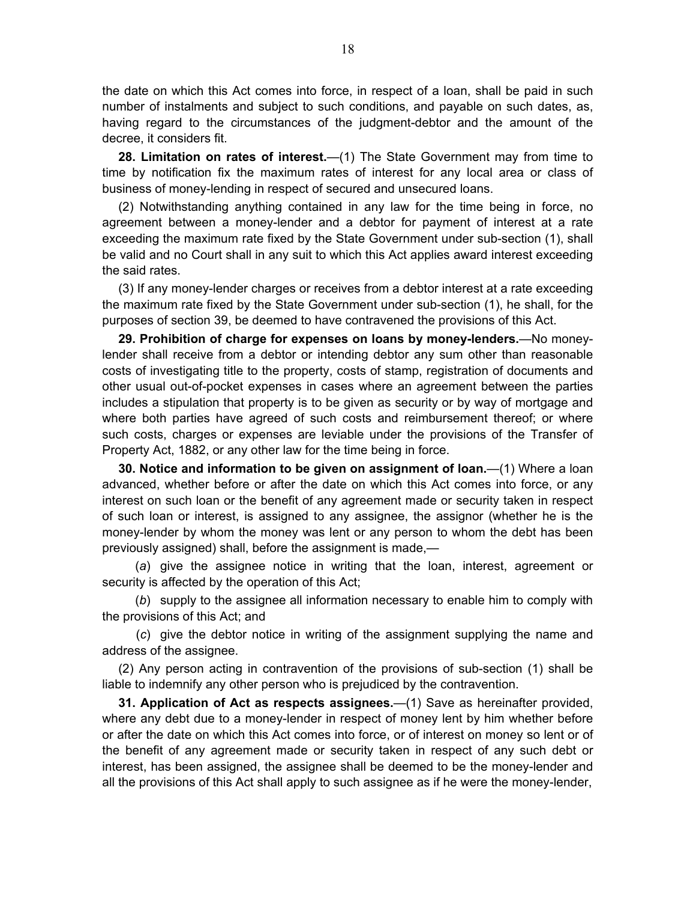<span id="page-17-0"></span>the date on which this Act comes into force, in respect of a loan, shall be paid in such number of instalments and subject to such conditions, and payable on such dates, as, having regard to the circumstances of the judgment-debtor and the amount of the decree, it considers fit.

**28. Limitation on rates of interest.**—(1) The State Government may from time to time by notification fix the maximum rates of interest for any local area or class of business of money-lending in respect of secured and unsecured loans.

(2) Notwithstanding anything contained in any law for the time being in force, no agreement between a money-lender and a debtor for payment of interest at a rate exceeding the maximum rate fixed by the State Government under sub-section (1), shall be valid and no Court shall in any suit to which this Act applies award interest exceeding the said rates.

(3) If any money-lender charges or receives from a debtor interest at a rate exceeding the maximum rate fixed by the State Government under sub-section (1), he shall, for the purposes of section 39, be deemed to have contravened the provisions of this Act.

**29. Prohibition of charge for expenses on loans by money-lenders.**—No moneylender shall receive from a debtor or intending debtor any sum other than reasonable costs of investigating title to the property, costs of stamp, registration of documents and other usual out-of-pocket expenses in cases where an agreement between the parties includes a stipulation that property is to be given as security or by way of mortgage and where both parties have agreed of such costs and reimbursement thereof; or where such costs, charges or expenses are leviable under the provisions of the Transfer of Property Act, 1882, or any other law for the time being in force.

**30. Notice and information to be given on assignment of loan.**—(1) Where a loan advanced, whether before or after the date on which this Act comes into force, or any interest on such loan or the benefit of any agreement made or security taken in respect of such loan or interest, is assigned to any assignee, the assignor (whether he is the money-lender by whom the money was lent or any person to whom the debt has been previously assigned) shall, before the assignment is made,—

 (*a*) give the assignee notice in writing that the loan, interest, agreement or security is affected by the operation of this Act;

 (*b*) supply to the assignee all information necessary to enable him to comply with the provisions of this Act; and

 (*c*) give the debtor notice in writing of the assignment supplying the name and address of the assignee.

(2) Any person acting in contravention of the provisions of sub-section (1) shall be liable to indemnify any other person who is prejudiced by the contravention.

**31. Application of Act as respects assignees.**—(1) Save as hereinafter provided, where any debt due to a money-lender in respect of money lent by him whether before or after the date on which this Act comes into force, or of interest on money so lent or of the benefit of any agreement made or security taken in respect of any such debt or interest, has been assigned, the assignee shall be deemed to be the money-lender and all the provisions of this Act shall apply to such assignee as if he were the money-lender,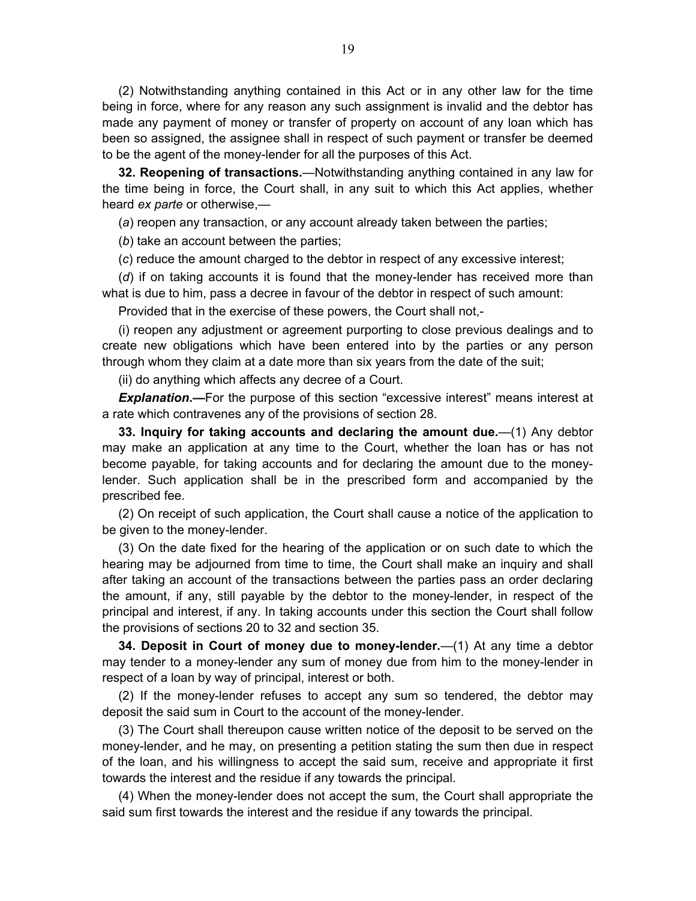<span id="page-18-0"></span>(2) Notwithstanding anything contained in this Act or in any other law for the time being in force, where for any reason any such assignment is invalid and the debtor has made any payment of money or transfer of property on account of any loan which has been so assigned, the assignee shall in respect of such payment or transfer be deemed to be the agent of the money-lender for all the purposes of this Act.

**32. Reopening of transactions.**—Notwithstanding anything contained in any law for the time being in force, the Court shall, in any suit to which this Act applies, whether heard *ex parte* or otherwise,—

(*a*) reopen any transaction, or any account already taken between the parties;

(*b*) take an account between the parties;

(*c*) reduce the amount charged to the debtor in respect of any excessive interest;

(*d*) if on taking accounts it is found that the money-lender has received more than what is due to him, pass a decree in favour of the debtor in respect of such amount:

Provided that in the exercise of these powers, the Court shall not,-

(i) reopen any adjustment or agreement purporting to close previous dealings and to create new obligations which have been entered into by the parties or any person through whom they claim at a date more than six years from the date of the suit;

(ii) do anything which affects any decree of a Court.

**Explanation.—**For the purpose of this section "excessive interest" means interest at a rate which contravenes any of the provisions of section 28.

**33. Inquiry for taking accounts and declaring the amount due.**—(1) Any debtor may make an application at any time to the Court, whether the loan has or has not become payable, for taking accounts and for declaring the amount due to the moneylender. Such application shall be in the prescribed form and accompanied by the prescribed fee.

(2) On receipt of such application, the Court shall cause a notice of the application to be given to the money-lender.

(3) On the date fixed for the hearing of the application or on such date to which the hearing may be adjourned from time to time, the Court shall make an inquiry and shall after taking an account of the transactions between the parties pass an order declaring the amount, if any, still payable by the debtor to the money-lender, in respect of the principal and interest, if any. In taking accounts under this section the Court shall follow the provisions of sections 20 to 32 and section 35.

**34. Deposit in Court of money due to money-lender.**—(1) At any time a debtor may tender to a money-lender any sum of money due from him to the money-lender in respect of a loan by way of principal, interest or both.

(2) If the money-lender refuses to accept any sum so tendered, the debtor may deposit the said sum in Court to the account of the money-lender.

(3) The Court shall thereupon cause written notice of the deposit to be served on the money-lender, and he may, on presenting a petition stating the sum then due in respect of the loan, and his willingness to accept the said sum, receive and appropriate it first towards the interest and the residue if any towards the principal.

(4) When the money-lender does not accept the sum, the Court shall appropriate the said sum first towards the interest and the residue if any towards the principal.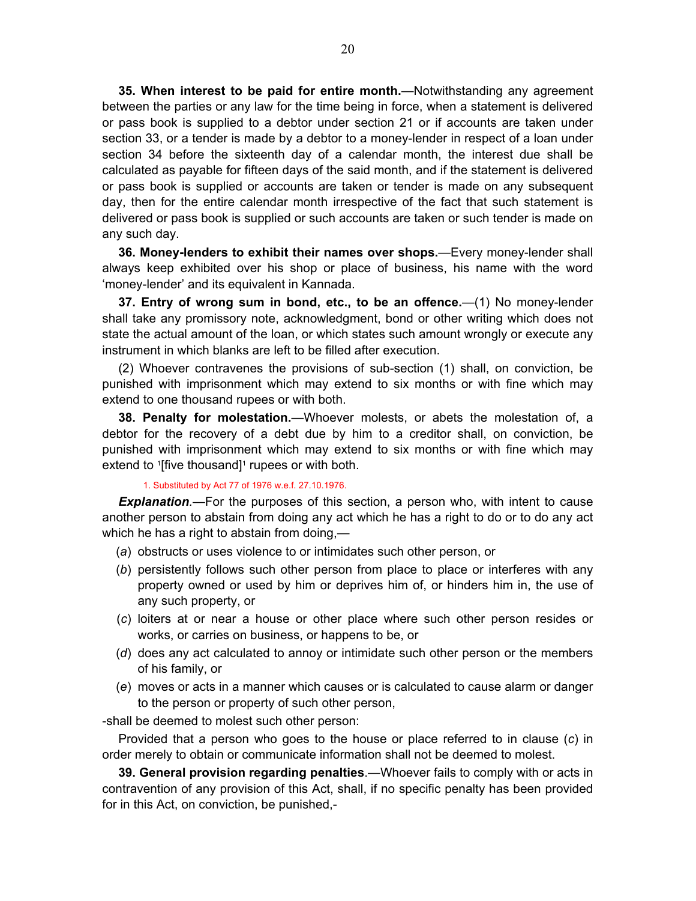<span id="page-19-0"></span>**35. When interest to be paid for entire month.**—Notwithstanding any agreement between the parties or any law for the time being in force, when a statement is delivered or pass book is supplied to a debtor under section 21 or if accounts are taken under section 33, or a tender is made by a debtor to a money-lender in respect of a loan under section 34 before the sixteenth day of a calendar month, the interest due shall be calculated as payable for fifteen days of the said month, and if the statement is delivered or pass book is supplied or accounts are taken or tender is made on any subsequent day, then for the entire calendar month irrespective of the fact that such statement is delivered or pass book is supplied or such accounts are taken or such tender is made on any such day.

**36. Money-lenders to exhibit their names over shops.**—Every money-lender shall always keep exhibited over his shop or place of business, his name with the word 'money-lender' and its equivalent in Kannada.

**37. Entry of wrong sum in bond, etc., to be an offence.**—(1) No money-lender shall take any promissory note, acknowledgment, bond or other writing which does not state the actual amount of the loan, or which states such amount wrongly or execute any instrument in which blanks are left to be filled after execution.

(2) Whoever contravenes the provisions of sub-section (1) shall, on conviction, be punished with imprisonment which may extend to six months or with fine which may extend to one thousand rupees or with both.

**38. Penalty for molestation.**—Whoever molests, or abets the molestation of, a debtor for the recovery of a debt due by him to a creditor shall, on conviction, be punished with imprisonment which may extend to six months or with fine which may extend to  $[$ five thousand $]$ <sup>1</sup> rupees or with both.

### 1. Substituted by Act 77 of 1976 w.e.f. 27.10.1976.

*Explanation.—*For the purposes of this section, a person who, with intent to cause another person to abstain from doing any act which he has a right to do or to do any act which he has a right to abstain from doing,—

- (*a*) obstructs or uses violence to or intimidates such other person, or
- (*b*) persistently follows such other person from place to place or interferes with any property owned or used by him or deprives him of, or hinders him in, the use of any such property, or
- (*c*) loiters at or near a house or other place where such other person resides or works, or carries on business, or happens to be, or
- (*d*) does any act calculated to annoy or intimidate such other person or the members of his family, or
- (*e*) moves or acts in a manner which causes or is calculated to cause alarm or danger to the person or property of such other person,

-shall be deemed to molest such other person:

Provided that a person who goes to the house or place referred to in clause (*c*) in order merely to obtain or communicate information shall not be deemed to molest.

**39. General provision regarding penalties**.—Whoever fails to comply with or acts in contravention of any provision of this Act, shall, if no specific penalty has been provided for in this Act, on conviction, be punished,-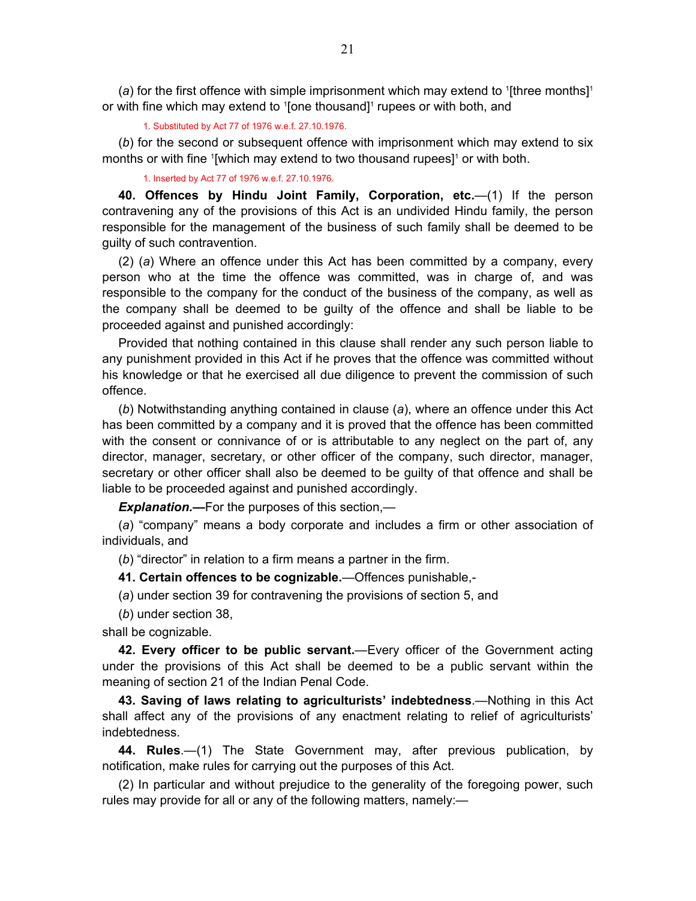<span id="page-20-0"></span>(a) for the first offence with simple imprisonment which may extend to  $[$ three months $]$ <sup>1</sup> or with fine which may extend to '[one thousand]<sup>1</sup> rupees or with both, and

1. Substituted by Act 77 of 1976 w.e.f. 27.10.1976.

(*b*) for the second or subsequent offence with imprisonment which may extend to six months or with fine '[which may extend to two thousand rupees]<sup>1</sup> or with both.

1. Inserted by Act 77 of 1976 w.e.f. 27.10.1976.

**40. Offences by Hindu Joint Family, Corporation, etc.**—(1) If the person contravening any of the provisions of this Act is an undivided Hindu family, the person responsible for the management of the business of such family shall be deemed to be guilty of such contravention.

(2) (*a*) Where an offence under this Act has been committed by a company, every person who at the time the offence was committed, was in charge of, and was responsible to the company for the conduct of the business of the company, as well as the company shall be deemed to be guilty of the offence and shall be liable to be proceeded against and punished accordingly:

Provided that nothing contained in this clause shall render any such person liable to any punishment provided in this Act if he proves that the offence was committed without his knowledge or that he exercised all due diligence to prevent the commission of such offence.

(*b*) Notwithstanding anything contained in clause (*a*), where an offence under this Act has been committed by a company and it is proved that the offence has been committed with the consent or connivance of or is attributable to any neglect on the part of, any director, manager, secretary, or other officer of the company, such director, manager, secretary or other officer shall also be deemed to be guilty of that offence and shall be liable to be proceeded against and punished accordingly.

*Explanation.***—**For the purposes of this section,—

(*a*) "company" means a body corporate and includes a firm or other association of individuals, and

(*b*) "director" in relation to a firm means a partner in the firm.

**41. Certain offences to be cognizable.**—Offences punishable,-

(*a*) under section 39 for contravening the provisions of section 5, and

(*b*) under section 38,

shall be cognizable.

**42. Every officer to be public servant.**—Every officer of the Government acting under the provisions of this Act shall be deemed to be a public servant within the meaning of section 21 of the Indian Penal Code.

**43. Saving of laws relating to agriculturists' indebtedness**.—Nothing in this Act shall affect any of the provisions of any enactment relating to relief of agriculturists' indebtedness.

**44. Rules**.—(1) The State Government may, after previous publication, by notification, make rules for carrying out the purposes of this Act.

(2) In particular and without prejudice to the generality of the foregoing power, such rules may provide for all or any of the following matters, namely:—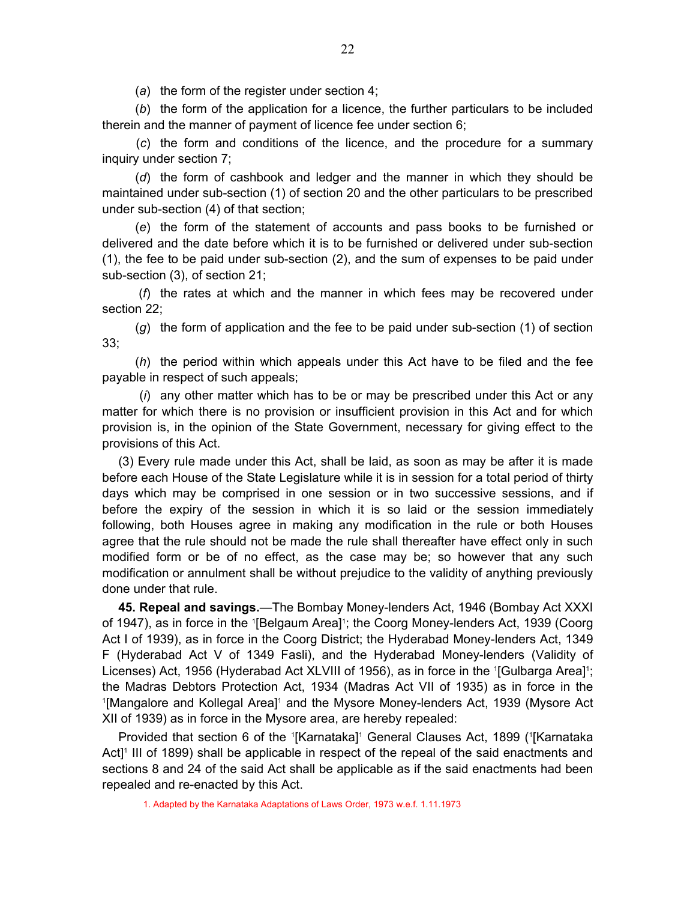(*a*) the form of the register under section 4;

<span id="page-21-0"></span> (*b*) the form of the application for a licence, the further particulars to be included therein and the manner of payment of licence fee under section 6;

 (*c*) the form and conditions of the licence, and the procedure for a summary inquiry under section 7;

 (*d*) the form of cashbook and ledger and the manner in which they should be maintained under sub-section (1) of section 20 and the other particulars to be prescribed under sub-section (4) of that section;

 (*e*) the form of the statement of accounts and pass books to be furnished or delivered and the date before which it is to be furnished or delivered under sub-section (1), the fee to be paid under sub-section (2), and the sum of expenses to be paid under sub-section (3), of section 21;

 (*f*) the rates at which and the manner in which fees may be recovered under section 22;

 (*g*) the form of application and the fee to be paid under sub-section (1) of section 33;

 (*h*) the period within which appeals under this Act have to be filed and the fee payable in respect of such appeals;

 (*i*) any other matter which has to be or may be prescribed under this Act or any matter for which there is no provision or insufficient provision in this Act and for which provision is, in the opinion of the State Government, necessary for giving effect to the provisions of this Act.

(3) Every rule made under this Act, shall be laid, as soon as may be after it is made before each House of the State Legislature while it is in session for a total period of thirty days which may be comprised in one session or in two successive sessions, and if before the expiry of the session in which it is so laid or the session immediately following, both Houses agree in making any modification in the rule or both Houses agree that the rule should not be made the rule shall thereafter have effect only in such modified form or be of no effect, as the case may be; so however that any such modification or annulment shall be without prejudice to the validity of anything previously done under that rule.

**45. Repeal and savings.**—The Bombay Money-lenders Act, 1946 (Bombay Act XXXI of 1947), as in force in the <sup>1</sup>[Belgaum Area]<sup>1</sup>; the Coorg Money-lenders Act, 1939 (Coorg Act I of 1939), as in force in the Coorg District; the Hyderabad Money-lenders Act, 1349 F (Hyderabad Act V of 1349 Fasli), and the Hyderabad Money-lenders (Validity of Licenses) Act, 1956 (Hyderabad Act XLVIII of 1956), as in force in the <sup>1</sup>[Gulbarga Area]<sup>1</sup>; the Madras Debtors Protection Act, 1934 (Madras Act VII of 1935) as in force in the <sup>1</sup>[Mangalore and Kollegal Area]<sup>1</sup> and the Mysore Money-lenders Act, 1939 (Mysore Act XII of 1939) as in force in the Mysore area, are hereby repealed:

Provided that section 6 of the <sup>1</sup>[Karnataka]<sup>1</sup> General Clauses Act, 1899 (<sup>1</sup>[Karnataka Act]<sup>1</sup> III of 1899) shall be applicable in respect of the repeal of the said enactments and sections 8 and 24 of the said Act shall be applicable as if the said enactments had been repealed and re-enacted by this Act.

1. Adapted by the Karnataka Adaptations of Laws Order, 1973 w.e.f. 1.11.1973